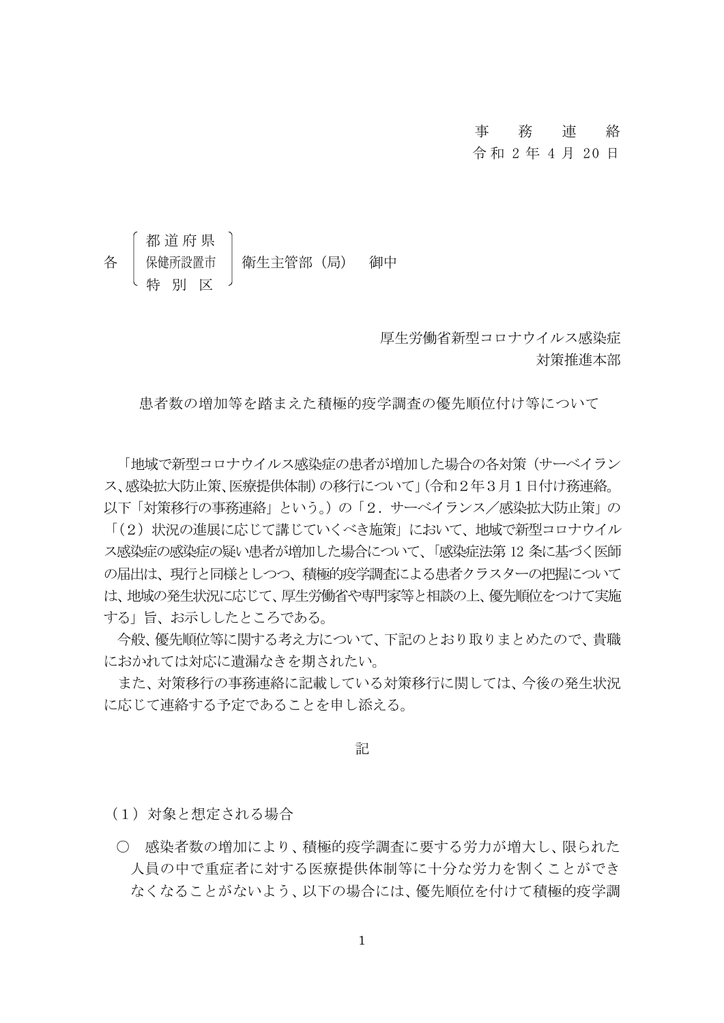## 事 務 連 絡

### 令 和 2 年 4 月 20 日

# 都 道 府 県 保健所設置市 | 衛生主管部 (局) 御中 特 別 区

厚生労働省新型コロナウイルス感染症 対策推進本部

患者数の増加等を踏まえた積極的疫学調査の優先順位付け等について

「地域で新型コロナウイルス感染症の患者が増加した場合の各対策(サーベイラン ス、感染拡大防止策、医療提供体制)の移行について」(令和2年3月1日付け務連絡。

以下「対策移行の事務連絡」という。)の「2.サーベイランス/感染拡大防止策」の 「(2)状況の進展に応じて講じていくべき施策」において、地域で新型コロナウイル ス感染症の感染症の疑い患者が増加した場合について、「感染症法第 12 条に基づく医師 の届出は、現行と同様としつつ、積極的疫学調査による患者クラスターの把握について は、地域の発生状況に応じて、厚生労働省や専門家等と相談の上、優先順位をつけて実施 する」旨、お示ししたところである。

今般、優先順位等に関する考え方について、下記のとおり取りまとめたので、貴職 におかれては対応に遺漏なきを期されたい。

また、対策移行の事務連絡に記載している対策移行に関しては、今後の発生状況 に応じて連絡する予定であることを申し添える。

記

(1)対象と想定される場合

○ 感染者数の増加により、積極的疫学調査に要する労力が増大し、限られた 人員の中で重症者に対する医療提供体制等に十分な労力を割くことができ なくなることがないよう、以下の場合には、優先順位を付けて積極的疫学調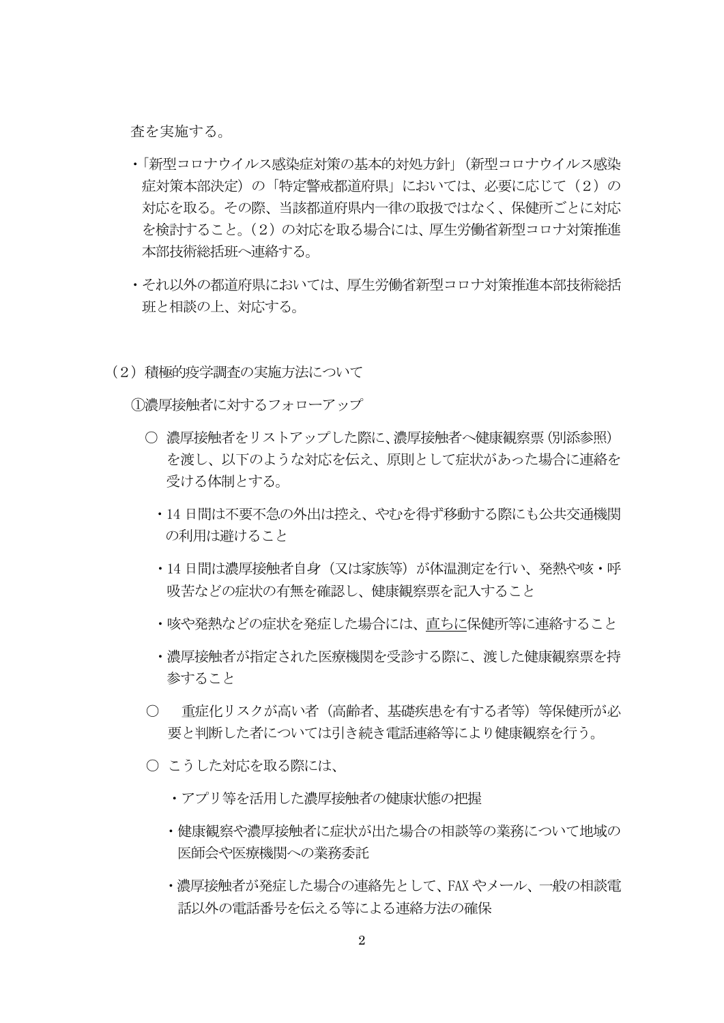査を実施する。

- ・「新型コロナウイルス感染症対策の基本的対処方針」(新型コロナウイルス感染 症対策本部決定)の「特定警戒都道府県」においては、必要に応じて(2)の 対応を取る。その際、当該都道府県内一律の取扱ではなく、保健所ごとに対応 を検討すること。(2)の対応を取る場合には、厚生労働省新型コロナ対策推進 本部技術総括班へ連絡する。
- ・それ以外の都道府県においては、厚生労働省新型コロナ対策推進本部技術総括 班と相談の上、対応する。
- (2)積極的疫学調査の実施方法について

①濃厚接触者に対するフォローアップ

- 濃厚接触者をリストアップした際に、濃厚接触者へ健康観察票(別添参照) を渡し、以下のような対応を伝え、原則として症状があった場合に連絡を 受ける体制とする。
	- ・14 日間は不要不急の外出は控え、やむを得ず移動する際にも公共交通機関 の利用は避けること
	- •14 日間は濃厚接触者自身(又は家族等)が体温測定を行い、発熱や咳・呼 吸苦などの症状の有無を確認し、健康観察票を記入すること
	- ・咳や発熱などの症状を発症した場合には、直ちに保健所等に連絡すること
	- ・濃厚接触者が指定された医療機関を受診する際に、渡した健康観察票を持 参すること
- 重症化リスクが高い者(高齢者、基礎疾患を有する者等)等保健所が必 要と判断した者については引き続き電話連絡等により健康観察を行う。
- こうした対応を取る際には、
	- ・アプリ等を活用した濃厚接触者の健康状態の把握
	- ・健康観察や濃厚接触者に症状が出た場合の相談等の業務について地域の 医師会や医療機関への業務委託
	- ・濃厚接触者が発症した場合の連絡先として、FAX やメール、一般の相談電 話以外の電話番号を伝える等による連絡方法の確保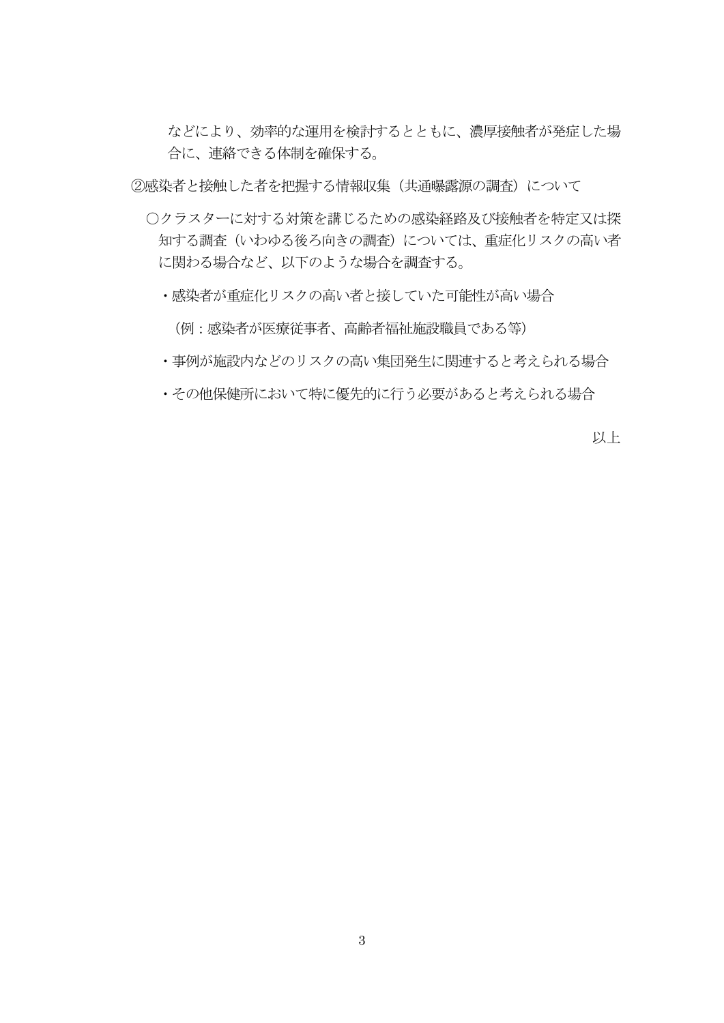などにより、効率的な運用を検討するとともに、濃厚接触者が発症した場 合に、連絡できる体制を確保する。

②感染者と接触した者を把握する情報収集(共通曝露源の調査)について

- ○クラスターに対する対策を講じるための感染経路及び接触者を特定又は探 知する調査(いわゆる後ろ向きの調査)については、重症化リスクの高い者 に関わる場合など、以下のような場合を調査する。
	- ・感染者が重症化リスクの高い者と接していた可能性が高い場合

(例:感染者が医療従事者、高齢者福祉施設職員である等)

- ・事例が施設内などのリスクの高い集団発生に関連すると考えられる場合
- ・その他保健所において特に優先的に行う必要があると考えられる場合

以上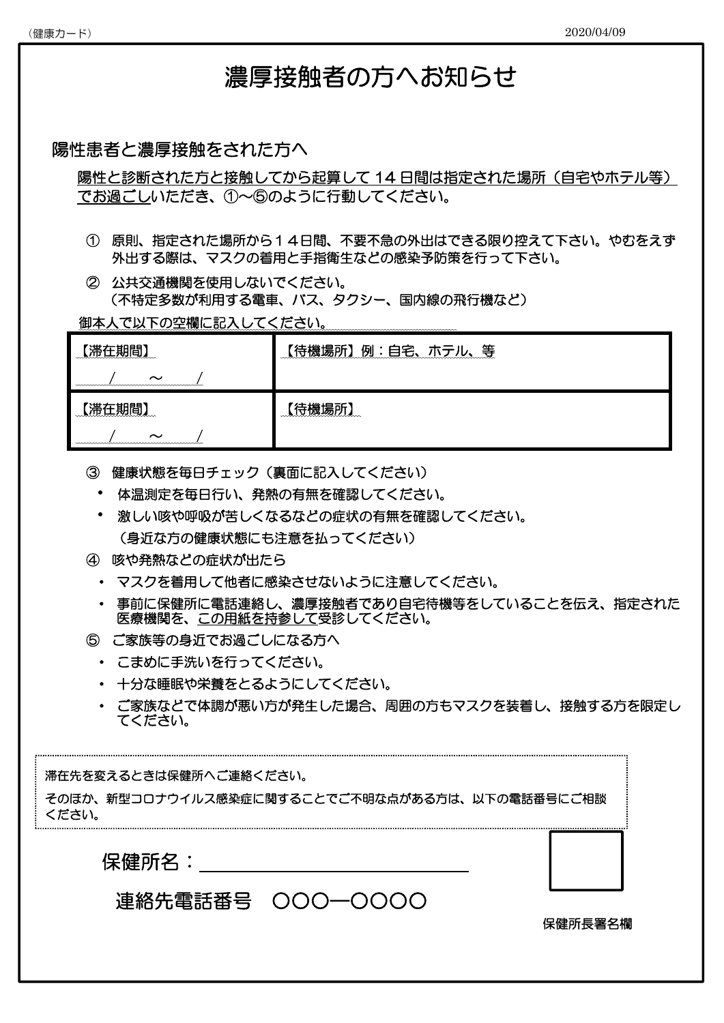# 濃厚接触者の方へお知らせ

## 陽性患者と濃厚接触をされた方へ

陽性と診断された方と接触してから起算して14日間は指定された場所(自宅やホテル等) でお過ごしいただき、①~⑤のように行動してください。

- ① 原則、指定された場所から14日間、不要不急の外出はできる限り控えて下さい。やむをえず 外出する際は、マスクの着用と手指衛生などの感染予防策を行って下さい。
- ② 公共交通機関を使用しないでください。 (不特定多数が利用する電車、バス、タクシー、国内線の飛行機など)

御本人で以下の空欄に記入してください。

| 滞在期間<br>$\sim$                                                    | 例:自宅、ホテル、等<br>〔待機場所】 |
|-------------------------------------------------------------------|----------------------|
| 滞在期間<br><u>mmmmmmmmm</u><br><b>20000</b><br>$\tilde{\phantom{a}}$ | 機場所<br>mmmmmmm       |

- ③ 健康状態を毎日チェック(裏面に記入してください)
	- ・ 体温測定を毎日行い、発熱の有無を確認してください。
	- ・ 激しい咳や呼吸が苦しくなるなどの症状の有無を確認してください。 (身近な方の健康状態にも注意を払ってください)
- ④ 咳や発熱などの症状が出たら
	- ・ マスクを着用して他者に感染させないように注意してください。
	- ・ 事前に保健所に電話連絡し、濃厚接触者であり自宅待機等をしていることを伝え、指定された 医療機関を、この用紙を持参して受診してください。
- ⑤ ご家族等の身近でお過ごしになる方へ
	- ・ こまめに手洗いを行ってください。
	- ・ 十分な睡眠や栄養をとるようにしてください。
	- ・ ご家族などで体調が悪い方が発生した場合、周囲の方もマスクを装着し、接触する方を限定し てください。

## 滞在先を変えるときは保健所へご連絡ください。

そのほか、新型コロナウイルス感染症に関することでご不明な点がある方は、以下の電話番号にご相談 ください。

保健所名:



保健所長署名欄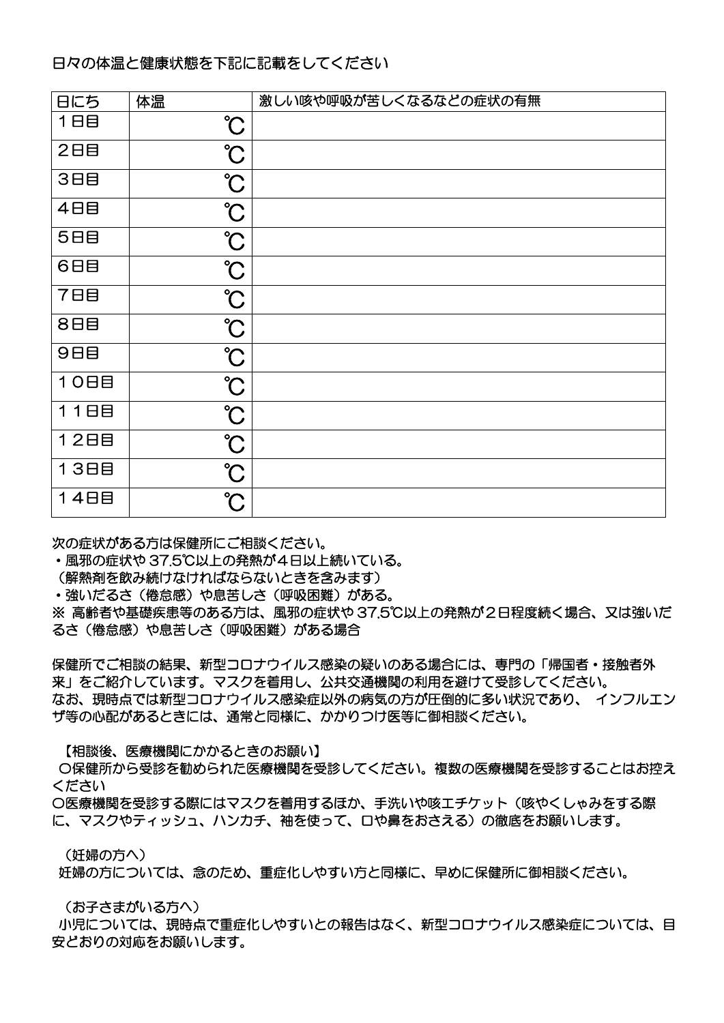## 日々の体温と健康状態を下記に記載をしてください

| 日にち        | 体温                   | 激しい咳や呼吸が苦しくなるなどの症状の有無 |
|------------|----------------------|-----------------------|
| 1日目        | $\hat{C}$            |                       |
| 2日目        | $\hat{\mathcal{C}}$  |                       |
| 3日目        | $\int_0^\infty$      |                       |
| 4日目        | $\hat{\mathcal{C}}$  |                       |
| 5日目        | $\partial$           |                       |
| 6日目        | $\hat{C}$            |                       |
| <b>788</b> | $\hat{\mathcal{C}}$  |                       |
| 8日目        | $\int$               |                       |
| 9日目        | $\hat{\mathcal{C}}$  |                       |
| 10日目       | $\int$               |                       |
| 11日目       | $\hat{\mathcal{C}}$  |                       |
| 12日目       | $\hat{\mathcal{C}}$  |                       |
| 13日目       | $\hat{\mathcal{C}}$  |                       |
| 14日目       | $\mathrm{C}^{\circ}$ |                       |

次の症状がある方は保健所にご相談ください。

・風邪の症状や 37.5℃以上の発熱が4日以上続いている。

(解熱剤を飲み続けなければならないときを含みます)

・強いだるさ(倦怠感)や息苦しさ(呼吸困難)がある。

※ 高齢者や基礎疾患等のある方は、風邪の症状や 37.5℃以上の発熱が2日程度続く場合、又は強いだ るさ(倦怠感)や息苦しさ(呼吸困難)がある場合

保健所でご相談の結果、新型コロナウイルス感染の疑いのある場合には、専門の「帰国者・接触者外 来」をご紹介しています。マスクを着用し、公共交通機関の利用を避けて受診してください。 なお、現時点では新型コロナウイルス感染症以外の病気の方が圧倒的に多い状況であり、 インフルエン ザ等の心配があるときには、通常と同様に、かかりつけ医等に御相談ください。

【相談後、医療機関にかかるときのお願い】

 〇保健所から受診を勧められた医療機関を受診してください。複数の医療機関を受診することはお控え ください

〇医療機関を受診する際にはマスクを着用するほか、手洗いや咳エチケット(咳やくしゃみをする際 に、マスクやティッシュ、ハンカチ、袖を使って、口や鼻をおさえる)の徹底をお願いします。

(妊婦の方へ)

妊婦の方については、念のため、重症化しやすい方と同様に、早めに保健所に御相談ください。

(お子さまがいる方へ)

 小児については、現時点で重症化しやすいとの報告はなく、新型コロナウイルス感染症については、目 安どおりの対応をお願いします。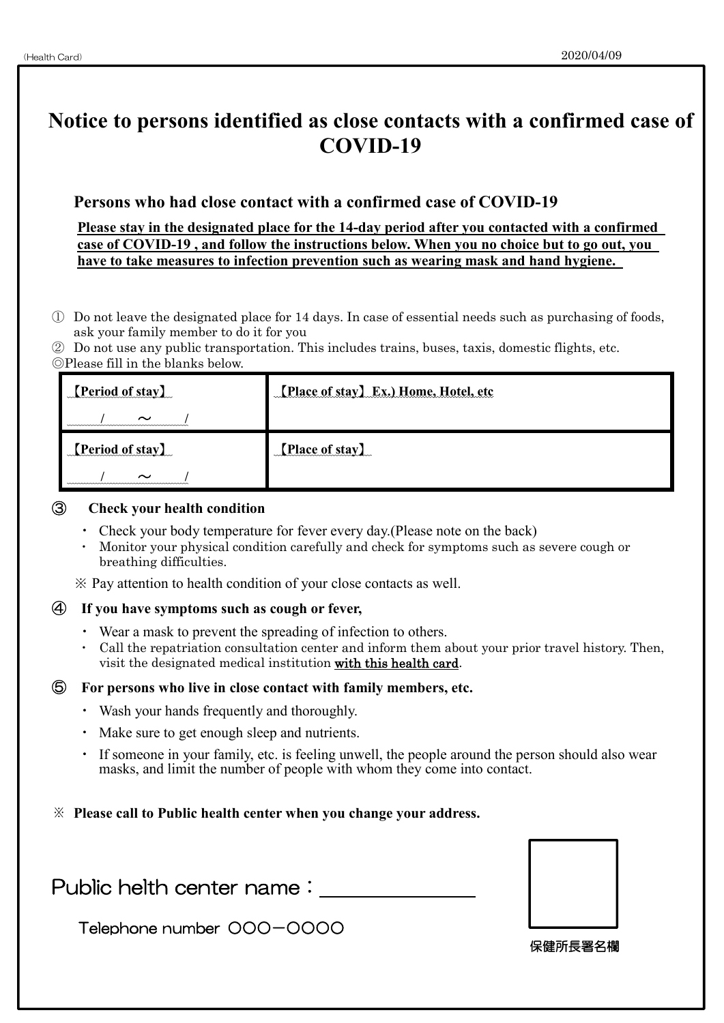# **Notice to persons identified as close contacts with a confirmed case of COVID-19 Persons who had close contact with a confirmed case of COVID-19 Please stay in the designated place for the 14-day period after you contacted with a confirmed case of COVID-19 , and follow the instructions below. When you no choice but to go out, you have to take measures to infection prevention such as wearing mask and hand hygiene.**

- ① Do not leave the designated place for 14 days. In case of essential needs such as purchasing of foods, ask your family member to do it for you
- ② Do not use any public transportation. This includes trains, buses, taxis, domestic flights, etc. ◎Please fill in the blanks below.

| <b>[Period of stay]</b> | [Place of stay] Ex.) Home, Hotel, etc |
|-------------------------|---------------------------------------|
| $\sim$                  |                                       |
| <b>Period of stay</b>   | [Place of stay]                       |
| $\sim$                  |                                       |

### ③ **Check your health condition**

- Check your body temperature for fever every day. (Please note on the back)
- ・ Monitor your physical condition carefully and check for symptoms such as severe cough or breathing difficulties.
- ※ Pay attention to health condition of your close contacts as well.

### ④ **If you have symptoms such as cough or fever,**

- ・ Wear a mask to prevent the spreading of infection to others.
- ・ Call the repatriation consultation center and inform them about your prior travel history. Then, visit the designated medical institution with this health card.

### ⑤ **For persons who live in close contact with family members, etc.**

- ・ Wash your hands frequently and thoroughly.
- ・ Make sure to get enough sleep and nutrients.
- ・ If someone in your family, etc. is feeling unwell, the people around the person should also wear masks, and limit the number of people with whom they come into contact.
- ※ **Please call to Public health center when you change your address.**

Public helth center name:

Telephone number ○○○-○○○○



保健所長署名欄